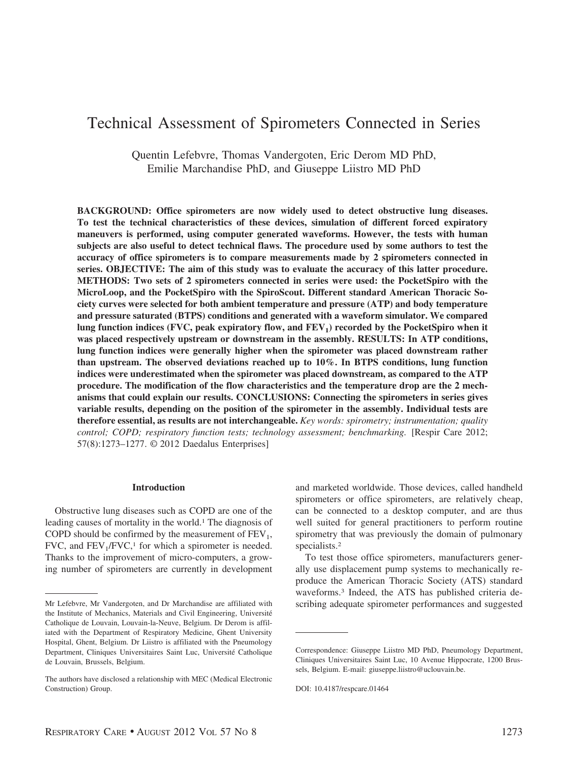# Technical Assessment of Spirometers Connected in Series

Quentin Lefebvre, Thomas Vandergoten, Eric Derom MD PhD, Emilie Marchandise PhD, and Giuseppe Liistro MD PhD

**BACKGROUND: Office spirometers are now widely used to detect obstructive lung diseases. To test the technical characteristics of these devices, simulation of different forced expiratory maneuvers is performed, using computer generated waveforms. However, the tests with human subjects are also useful to detect technical flaws. The procedure used by some authors to test the accuracy of office spirometers is to compare measurements made by 2 spirometers connected in series. OBJECTIVE: The aim of this study was to evaluate the accuracy of this latter procedure. METHODS: Two sets of 2 spirometers connected in series were used: the PocketSpiro with the MicroLoop, and the PocketSpiro with the SpiroScout. Different standard American Thoracic Society curves were selected for both ambient temperature and pressure (ATP) and body temperature and pressure saturated (BTPS) conditions and generated with a waveform simulator. We compared** lung function indices (FVC, peak expiratory flow, and FEV<sub>1</sub>) recorded by the PocketSpiro when it **was placed respectively upstream or downstream in the assembly. RESULTS: In ATP conditions, lung function indices were generally higher when the spirometer was placed downstream rather than upstream. The observed deviations reached up to 10%. In BTPS conditions, lung function indices were underestimated when the spirometer was placed downstream, as compared to the ATP procedure. The modification of the flow characteristics and the temperature drop are the 2 mechanisms that could explain our results. CONCLUSIONS: Connecting the spirometers in series gives variable results, depending on the position of the spirometer in the assembly. Individual tests are therefore essential, as results are not interchangeable.** *Key words: spirometry; instrumentation; quality control; COPD; respiratory function tests; technology assessment; benchmarking.* [Respir Care 2012; 57(8):1273–1277. © 2012 Daedalus Enterprises]

#### **Introduction**

Obstructive lung diseases such as COPD are one of the leading causes of mortality in the world.<sup>1</sup> The diagnosis of COPD should be confirmed by the measurement of  $FEV<sub>1</sub>$ , FVC, and  $FEV<sub>1</sub>/FVC<sub>1</sub>$  for which a spirometer is needed. Thanks to the improvement of micro-computers, a growing number of spirometers are currently in development

and marketed worldwide. Those devices, called handheld spirometers or office spirometers, are relatively cheap, can be connected to a desktop computer, and are thus well suited for general practitioners to perform routine spirometry that was previously the domain of pulmonary specialists.2

To test those office spirometers, manufacturers generally use displacement pump systems to mechanically reproduce the American Thoracic Society (ATS) standard waveforms.3 Indeed, the ATS has published criteria de-Mr Lefebvre, Mr Vandergoten, and Dr Marchandise are affiliated with scribing adequate spirometer performances and suggested

the Institute of Mechanics, Materials and Civil Engineering, Université Catholique de Louvain, Louvain-la-Neuve, Belgium. Dr Derom is affiliated with the Department of Respiratory Medicine, Ghent University Hospital, Ghent, Belgium. Dr Liistro is affiliated with the Pneumology Department, Cliniques Universitaires Saint Luc, Université Catholique de Louvain, Brussels, Belgium.

The authors have disclosed a relationship with MEC (Medical Electronic Construction) Group.

Correspondence: Giuseppe Liistro MD PhD, Pneumology Department, Cliniques Universitaires Saint Luc, 10 Avenue Hippocrate, 1200 Brussels, Belgium. E-mail: giuseppe.liistro@uclouvain.be.

DOI: 10.4187/respcare.01464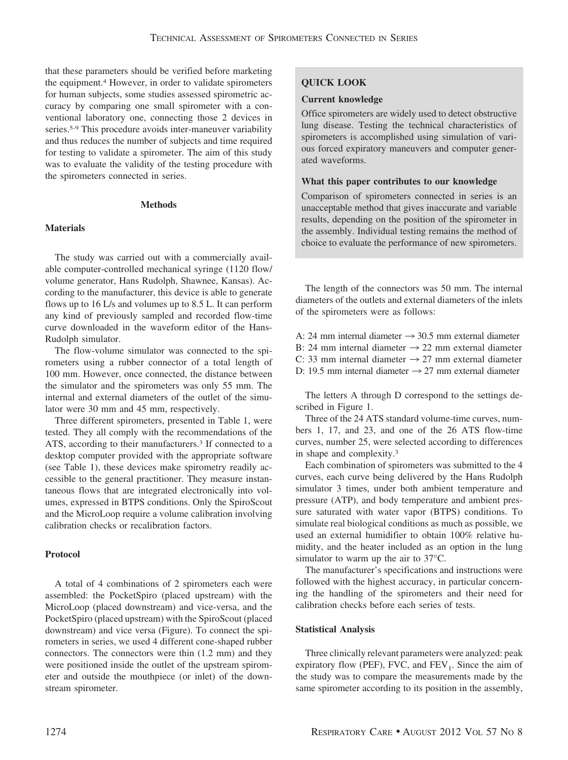that these parameters should be verified before marketing the equipment.4 However, in order to validate spirometers for human subjects, some studies assessed spirometric accuracy by comparing one small spirometer with a conventional laboratory one, connecting those 2 devices in series.<sup>5-9</sup> This procedure avoids inter-maneuver variability and thus reduces the number of subjects and time required for testing to validate a spirometer. The aim of this study was to evaluate the validity of the testing procedure with the spirometers connected in series.

#### **Methods**

## **Materials**

The study was carried out with a commercially available computer-controlled mechanical syringe (1120 flow/ volume generator, Hans Rudolph, Shawnee, Kansas). According to the manufacturer, this device is able to generate flows up to 16 L/s and volumes up to 8.5 L. It can perform any kind of previously sampled and recorded flow-time curve downloaded in the waveform editor of the Hans-Rudolph simulator.

The flow-volume simulator was connected to the spirometers using a rubber connector of a total length of 100 mm. However, once connected, the distance between the simulator and the spirometers was only 55 mm. The internal and external diameters of the outlet of the simulator were 30 mm and 45 mm, respectively.

Three different spirometers, presented in Table 1, were tested. They all comply with the recommendations of the ATS, according to their manufacturers.<sup>3</sup> If connected to a desktop computer provided with the appropriate software (see Table 1), these devices make spirometry readily accessible to the general practitioner. They measure instantaneous flows that are integrated electronically into volumes, expressed in BTPS conditions. Only the SpiroScout and the MicroLoop require a volume calibration involving calibration checks or recalibration factors.

## **Protocol**

A total of 4 combinations of 2 spirometers each were assembled: the PocketSpiro (placed upstream) with the MicroLoop (placed downstream) and vice-versa, and the PocketSpiro (placed upstream) with the SpiroScout (placed downstream) and vice versa (Figure). To connect the spirometers in series, we used 4 different cone-shaped rubber connectors. The connectors were thin (1.2 mm) and they were positioned inside the outlet of the upstream spirometer and outside the mouthpiece (or inlet) of the downstream spirometer.

## **QUICK LOOK**

#### **Current knowledge**

Office spirometers are widely used to detect obstructive lung disease. Testing the technical characteristics of spirometers is accomplished using simulation of various forced expiratory maneuvers and computer generated waveforms.

#### **What this paper contributes to our knowledge**

Comparison of spirometers connected in series is an unacceptable method that gives inaccurate and variable results, depending on the position of the spirometer in the assembly. Individual testing remains the method of choice to evaluate the performance of new spirometers.

The length of the connectors was 50 mm. The internal diameters of the outlets and external diameters of the inlets of the spirometers were as follows:

A: 24 mm internal diameter  $\rightarrow$  30.5 mm external diameter B: 24 mm internal diameter  $\rightarrow$  22 mm external diameter C: 33 mm internal diameter  $\rightarrow$  27 mm external diameter D: 19.5 mm internal diameter  $\rightarrow$  27 mm external diameter

The letters A through D correspond to the settings described in Figure 1.

Three of the 24 ATS standard volume-time curves, numbers 1, 17, and 23, and one of the 26 ATS flow-time curves, number 25, were selected according to differences in shape and complexity.3

Each combination of spirometers was submitted to the 4 curves, each curve being delivered by the Hans Rudolph simulator 3 times, under both ambient temperature and pressure (ATP), and body temperature and ambient pressure saturated with water vapor (BTPS) conditions. To simulate real biological conditions as much as possible, we used an external humidifier to obtain 100% relative humidity, and the heater included as an option in the lung simulator to warm up the air to 37°C.

The manufacturer's specifications and instructions were followed with the highest accuracy, in particular concerning the handling of the spirometers and their need for calibration checks before each series of tests.

#### **Statistical Analysis**

Three clinically relevant parameters were analyzed: peak expiratory flow (PEF), FVC, and  $FEV<sub>1</sub>$ . Since the aim of the study was to compare the measurements made by the same spirometer according to its position in the assembly,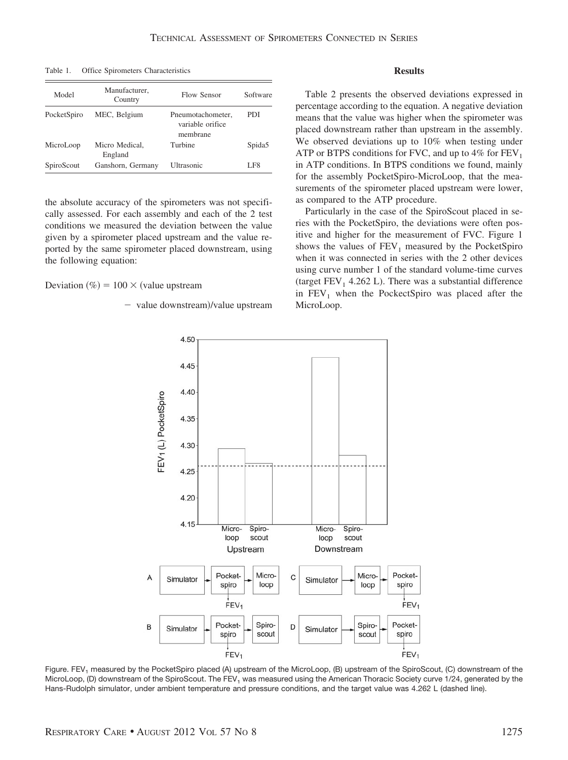Table 1. Office Spirometers Characteristics

| Model       | Manufacturer,<br>Country  | Flow Sensor                                       | Software           |  |
|-------------|---------------------------|---------------------------------------------------|--------------------|--|
| PocketSpiro | MEC, Belgium              | Pneumotachometer.<br>variable orifice<br>membrane | PDI                |  |
| MicroLoop   | Micro Medical.<br>England | Turbine                                           | Spida <sub>5</sub> |  |
| SpiroScout  | Ganshorn, Germany         | Ultrasonic                                        | LF8                |  |

the absolute accuracy of the spirometers was not specifically assessed. For each assembly and each of the 2 test conditions we measured the deviation between the value given by a spirometer placed upstream and the value reported by the same spirometer placed downstream, using the following equation:

Deviation (%) =  $100 \times$  (value upstream

- value downstream)/value upstream

#### **Results**

Table 2 presents the observed deviations expressed in percentage according to the equation. A negative deviation means that the value was higher when the spirometer was placed downstream rather than upstream in the assembly. We observed deviations up to 10% when testing under ATP or BTPS conditions for FVC, and up to  $4\%$  for FEV<sub>1</sub> in ATP conditions. In BTPS conditions we found, mainly for the assembly PocketSpiro-MicroLoop, that the measurements of the spirometer placed upstream were lower, as compared to the ATP procedure.

Particularly in the case of the SpiroScout placed in series with the PocketSpiro, the deviations were often positive and higher for the measurement of FVC. Figure 1 shows the values of  $FEV<sub>1</sub>$  measured by the PocketSpiro when it was connected in series with the 2 other devices using curve number 1 of the standard volume-time curves (target  $FEV_1$  4.262 L). There was a substantial difference in  $FEV<sub>1</sub>$  when the PockectSpiro was placed after the MicroLoop.



Figure. FEV<sub>1</sub> measured by the PocketSpiro placed (A) upstream of the MicroLoop, (B) upstream of the SpiroScout, (C) downstream of the MicroLoop, (D) downstream of the SpiroScout. The FEV<sub>1</sub> was measured using the American Thoracic Society curve 1/24, generated by the Hans-Rudolph simulator, under ambient temperature and pressure conditions, and the target value was 4.262 L (dashed line).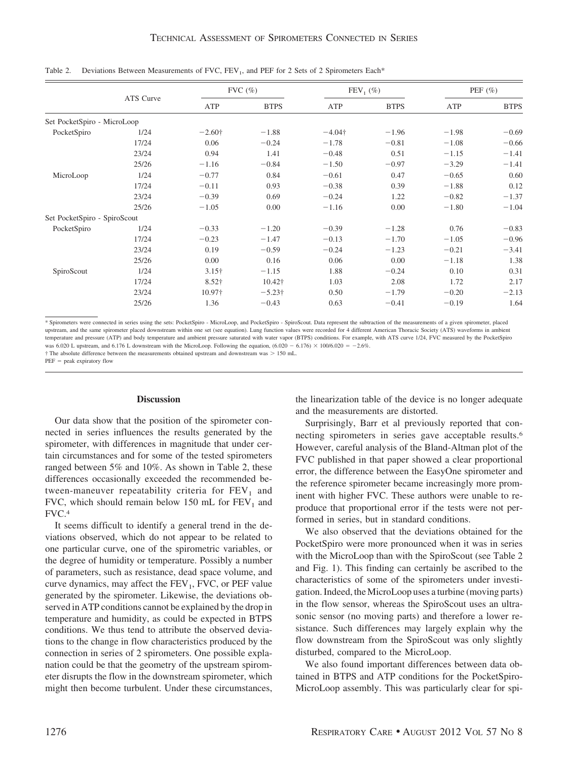|                              |           | $FVC$ $(\%)$   |                | $FEV_1(\%)$    |             | PEF $(\% )$ |             |
|------------------------------|-----------|----------------|----------------|----------------|-------------|-------------|-------------|
|                              | ATS Curve | ATP            | <b>BTPS</b>    | ATP            | <b>BTPS</b> | ATP         | <b>BTPS</b> |
| Set PocketSpiro - MicroLoop  |           |                |                |                |             |             |             |
| PocketSpiro                  | 1/24      | $-2.60\dagger$ | $-1.88$        | $-4.04\dagger$ | $-1.96$     | $-1.98$     | $-0.69$     |
|                              | 17/24     | 0.06           | $-0.24$        | $-1.78$        | $-0.81$     | $-1.08$     | $-0.66$     |
|                              | 23/24     | 0.94           | 1.41           | $-0.48$        | 0.51        | $-1.15$     | $-1.41$     |
|                              | 25/26     | $-1.16$        | $-0.84$        | $-1.50$        | $-0.97$     | $-3.29$     | $-1.41$     |
| MicroLoop                    | 1/24      | $-0.77$        | 0.84           | $-0.61$        | 0.47        | $-0.65$     | 0.60        |
|                              | 17/24     | $-0.11$        | 0.93           | $-0.38$        | 0.39        | $-1.88$     | 0.12        |
|                              | 23/24     | $-0.39$        | 0.69           | $-0.24$        | 1.22        | $-0.82$     | $-1.37$     |
|                              | 25/26     | $-1.05$        | 0.00           | $-1.16$        | 0.00        | $-1.80$     | $-1.04$     |
| Set PocketSpiro - SpiroScout |           |                |                |                |             |             |             |
| PocketSpiro                  | 1/24      | $-0.33$        | $-1.20$        | $-0.39$        | $-1.28$     | 0.76        | $-0.83$     |
|                              | 17/24     | $-0.23$        | $-1.47$        | $-0.13$        | $-1.70$     | $-1.05$     | $-0.96$     |
|                              | 23/24     | 0.19           | $-0.59$        | $-0.24$        | $-1.23$     | $-0.21$     | $-3.41$     |
|                              | 25/26     | 0.00           | 0.16           | 0.06           | 0.00        | $-1.18$     | 1.38        |
| SpiroScout                   | 1/24      | $3.15\dagger$  | $-1.15$        | 1.88           | $-0.24$     | 0.10        | 0.31        |
|                              | 17/24     | $8.52\dagger$  | 10.42†         | 1.03           | 2.08        | 1.72        | 2.17        |
|                              | 23/24     | 10.97†         | $-5.23\dagger$ | 0.50           | $-1.79$     | $-0.20$     | $-2.13$     |
|                              | 25/26     | 1.36           | $-0.43$        | 0.63           | $-0.41$     | $-0.19$     | 1.64        |

Table 2. Deviations Between Measurements of FVC, FEV<sub>1</sub>, and PEF for 2 Sets of 2 Spirometers Each\*

\* Spirometers were connected in series using the sets: PocketSpiro - MicroLoop, and PocketSpiro - SpiroScout. Data represent the subtraction of the measurements of a given spirometer, placed upstream, and the same spirometer placed downstream within one set (see equation). Lung function values were recorded for 4 different American Thoracic Society (ATS) waveforms in ambient temperature and pressure (ATP) and body temperature and ambient pressure saturated with water vapor (BTPS) conditions. For example, with ATS curve 1/24, FVC measured by the PocketSpiro was 6.020 L upstream, and 6.176 L downstream with the MicroLoop. Following the equation,  $(6.020 - 6.176) \times 100/6.020 = -2.6\%$ . <sup> $\dagger$ </sup> The absolute difference between the measurements obtained upstream and downstream was  $> 150$  mL.

PEF = peak expiratory flow

#### **Discussion**

Our data show that the position of the spirometer connected in series influences the results generated by the spirometer, with differences in magnitude that under certain circumstances and for some of the tested spirometers ranged between 5% and 10%. As shown in Table 2, these differences occasionally exceeded the recommended between-maneuver repeatability criteria for  $FEV<sub>1</sub>$  and FVC, which should remain below 150 mL for  $FEV<sub>1</sub>$  and FVC.4

It seems difficult to identify a general trend in the deviations observed, which do not appear to be related to one particular curve, one of the spirometric variables, or the degree of humidity or temperature. Possibly a number of parameters, such as resistance, dead space volume, and curve dynamics, may affect the  $FEV<sub>1</sub>$ , FVC, or PEF value generated by the spirometer. Likewise, the deviations observed in ATP conditions cannot be explained by the drop in temperature and humidity, as could be expected in BTPS conditions. We thus tend to attribute the observed deviations to the change in flow characteristics produced by the connection in series of 2 spirometers. One possible explanation could be that the geometry of the upstream spirometer disrupts the flow in the downstream spirometer, which might then become turbulent. Under these circumstances, the linearization table of the device is no longer adequate and the measurements are distorted.

Surprisingly, Barr et al previously reported that connecting spirometers in series gave acceptable results.6 However, careful analysis of the Bland-Altman plot of the FVC published in that paper showed a clear proportional error, the difference between the EasyOne spirometer and the reference spirometer became increasingly more prominent with higher FVC. These authors were unable to reproduce that proportional error if the tests were not performed in series, but in standard conditions.

We also observed that the deviations obtained for the PocketSpiro were more pronounced when it was in series with the MicroLoop than with the SpiroScout (see Table 2 and Fig. 1). This finding can certainly be ascribed to the characteristics of some of the spirometers under investigation. Indeed, the MicroLoop uses a turbine (moving parts) in the flow sensor, whereas the SpiroScout uses an ultrasonic sensor (no moving parts) and therefore a lower resistance. Such differences may largely explain why the flow downstream from the SpiroScout was only slightly disturbed, compared to the MicroLoop.

We also found important differences between data obtained in BTPS and ATP conditions for the PocketSpiro-MicroLoop assembly. This was particularly clear for spi